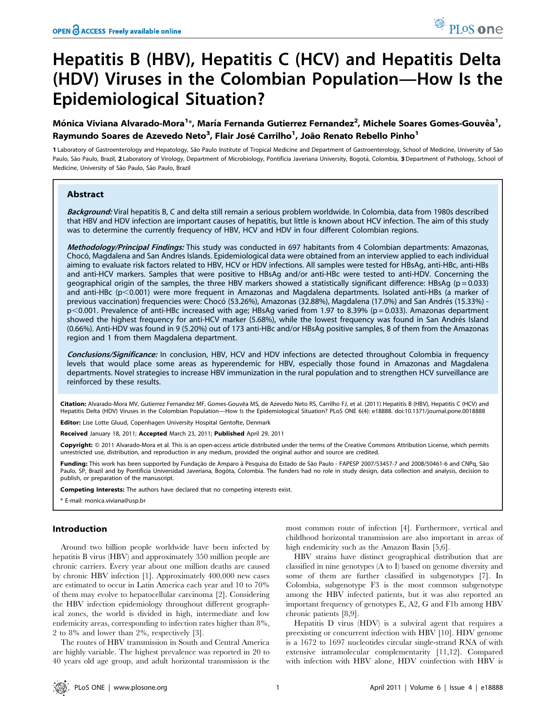# Hepatitis B (HBV), Hepatitis C (HCV) and Hepatitis Delta (HDV) Viruses in the Colombian Population—How Is the Epidemiological Situation?

# Mónica Viviana Alvarado-Mora<sup>1\*</sup>, María Fernanda Gutierrez Fernandez<sup>2</sup>, Michele Soares Gomes-Gouvêa<sup>1</sup>, Raymundo Soares de Azevedo Neto<sup>3</sup>, Flair José Carrilho<sup>1</sup>, João Renato Rebello Pinho<sup>1</sup>

1 Laboratory of Gastroenterology and Hepatology, São Paulo Institute of Tropical Medicine and Department of Gastroenterology, School of Medicine, University of São Paulo, São Paulo, Brazil, 2 Laboratory of Virology, Department of Microbiology, Pontificia Javeriana University, Bogotá, Colombia, 3 Department of Pathology, School of Medicine, University of São Paulo, São Paulo, Brazil

# Abstract

Background: Viral hepatitis B, C and delta still remain a serious problem worldwide. In Colombia, data from 1980s described that HBV and HDV infection are important causes of hepatitis, but little is known about HCV infection. The aim of this study was to determine the currently frequency of HBV, HCV and HDV in four different Colombian regions.

Methodology/Principal Findings: This study was conducted in 697 habitants from 4 Colombian departments: Amazonas, Chocó, Magdalena and San Andres Islands. Epidemiological data were obtained from an interview applied to each individual aiming to evaluate risk factors related to HBV, HCV or HDV infections. All samples were tested for HBsAg, anti-HBc, anti-HBs and anti-HCV markers. Samples that were positive to HBsAg and/or anti-HBc were tested to anti-HDV. Concerning the geographical origin of the samples, the three HBV markers showed a statistically significant difference: HBsAg ( $p = 0.033$ ) and anti-HBc (p<0.001) were more frequent in Amazonas and Magdalena departments. Isolated anti-HBs (a marker of previous vaccination) frequencies were: Chocó (53.26%), Amazonas (32.88%), Magdalena (17.0%) and San Andrés (15.33%)  $p$ <0.001. Prevalence of anti-HBc increased with age; HBsAg varied from 1.97 to 8.39% ( $p = 0.033$ ). Amazonas department showed the highest frequency for anti-HCV marker (5.68%), while the lowest frequency was found in San Andrés Island (0.66%). Anti-HDV was found in 9 (5.20%) out of 173 anti-HBc and/or HBsAg positive samples, 8 of them from the Amazonas region and 1 from them Magdalena department.

Conclusions/Significance: In conclusion, HBV, HCV and HDV infections are detected throughout Colombia in frequency levels that would place some areas as hyperendemic for HBV, especially those found in Amazonas and Magdalena departments. Novel strategies to increase HBV immunization in the rural population and to strengthen HCV surveillance are reinforced by these results.

Citation: Alvarado-Mora MV, Gutierrez Fernandez MF, Gomes-Gouvêa MS, de Azevedo Neto RS, Carrilho FJ, et al. (2011) Hepatitis B (HBV), Hepatitis C (HCV) and Hepatitis Delta (HDV) Viruses in the Colombian Population—How Is the Epidemiological Situation? PLoS ONE 6(4): e18888. doi:10.1371/journal.pone.0018888

Editor: Lise Lotte Gluud, Copenhagen University Hospital Gentofte, Denmark

Received January 18, 2011; Accepted March 23, 2011; Published April 29, 2011

Copyright: © 2011 Alvarado-Mora et al. This is an open-access article distributed under the terms of the Creative Commons Attribution License, which permits unrestricted use, distribution, and reproduction in any medium, provided the original author and source are credited.

Funding: This work has been supported by Fundação de Amparo à Pesquisa do Estado de São Paulo - FAPESP 2007/53457-7 and 2008/50461-6 and CNPq, São Paulo, SP, Brazil and by Pontificia Universidad Javeriana, Bogóta, Colombia. The funders had no role in study design, data collection and analysis, decision to publish, or preparation of the manuscript.

Competing Interests: The authors have declared that no competing interests exist.

\* E-mail: monica.viviana@usp.br

# Introduction

Around two billion people worldwide have been infected by hepatitis B virus (HBV) and approximately 350 million people are chronic carriers. Every year about one million deaths are caused by chronic HBV infection [1]. Approximately 400.000 new cases are estimated to occur in Latin America each year and 10 to 70% of them may evolve to hepatocellular carcinoma [2]. Considering the HBV infection epidemiology throughout different geographical zones, the world is divided in high, intermediate and low endemicity areas, corresponding to infection rates higher than 8%, 2 to 8% and lower than 2%, respectively [3].

The routes of HBV transmission in South and Central America are highly variable. The highest prevalence was reported in 20 to 40 years old age group, and adult horizontal transmission is the most common route of infection [4]. Furthermore, vertical and childhood horizontal transmission are also important in areas of high endemicity such as the Amazon Basin [5,6].

HBV strains have distinct geographical distribution that are classified in nine genotypes (A to I) based on genome diversity and some of them are further classified in subgenotypes [7]. In Colombia, subgenotype F3 is the most common subgenotype among the HBV infected patients, but it was also reported an important frequency of genotypes E, A2, G and F1b among HBV chronic patients [8,9].

Hepatitis D virus (HDV) is a subviral agent that requires a preexisting or concurrent infection with HBV [10]. HDV genome is a 1672 to 1697 nucleotides circular single-strand RNA of with extensive intramolecular complementarity [11,12]. Compared with infection with HBV alone, HDV coinfection with HBV is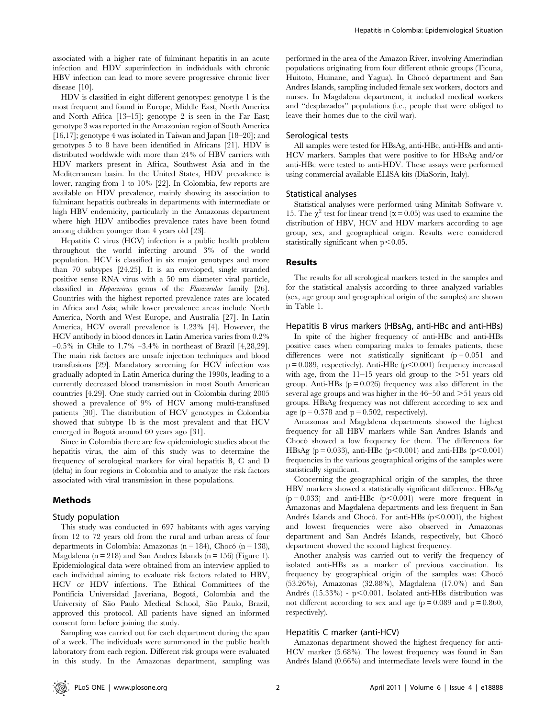associated with a higher rate of fulminant hepatitis in an acute infection and HDV superinfection in individuals with chronic HBV infection can lead to more severe progressive chronic liver disease [10].

HDV is classified in eight different genotypes: genotype 1 is the most frequent and found in Europe, Middle East, North America and North Africa [13–15]; genotype 2 is seen in the Far East; genotype 3 was reported in the Amazonian region of South America [16,17]; genotype 4 was isolated in Taiwan and Japan [18–20]; and genotypes 5 to 8 have been identified in Africans [21]. HDV is distributed worldwide with more than 24% of HBV carriers with HDV markers present in Africa, Southwest Asia and in the Mediterranean basin. In the United States, HDV prevalence is lower, ranging from 1 to 10% [22]. In Colombia, few reports are available on HDV prevalence, mainly showing its association to fulminant hepatitis outbreaks in departments with intermediate or high HBV endemicity, particularly in the Amazonas department where high HDV antibodies prevalence rates have been found among children younger than 4 years old [23].

Hepatitis C virus (HCV) infection is a public health problem throughout the world infecting around 3% of the world population. HCV is classified in six major genotypes and more than 70 subtypes [24,25]. It is an enveloped, single stranded positive sense RNA virus with a 50 nm diameter viral particle, classified in Hepacivirus genus of the Flaviviridae family [26]. Countries with the highest reported prevalence rates are located in Africa and Asia; while lower prevalence areas include North America, North and West Europe, and Australia [27]. In Latin America, HCV overall prevalence is 1.23% [4]. However, the HCV antibody in blood donors in Latin America varies from 0.2%  $-0.5\%$  in Chile to 1.7%  $-3.4\%$  in northeast of Brazil [4,28,29]. The main risk factors are unsafe injection techniques and blood transfusions [29]. Mandatory screening for HCV infection was gradually adopted in Latin America during the 1990s, leading to a currently decreased blood transmission in most South American countries [4,29]. One study carried out in Colombia during 2005 showed a prevalence of 9% of HCV among multi-transfused patients [30]. The distribution of HCV genotypes in Colombia showed that subtype 1b is the most prevalent and that HCV emerged in Bogotá around 60 years ago [31].

Since in Colombia there are few epidemiologic studies about the hepatitis virus, the aim of this study was to determine the frequency of serological markers for viral hepatitis B, C and D (delta) in four regions in Colombia and to analyze the risk factors associated with viral transmission in these populations.

# Methods

#### Study population

This study was conducted in 697 habitants with ages varying from 12 to 72 years old from the rural and urban areas of four departments in Colombia: Amazonas (n = 184), Chocó (n = 138), Magdalena ( $n = 218$ ) and San Andres Islands ( $n = 156$ ) (Figure 1). Epidemiological data were obtained from an interview applied to each individual aiming to evaluate risk factors related to HBV, HCV or HDV infections. The Ethical Committees of the Pontificia Universidad Javeriana, Bogotá, Colombia and the University of São Paulo Medical School, São Paulo, Brazil, approved this protocol. All patients have signed an informed consent form before joining the study.

Sampling was carried out for each department during the span of a week. The individuals were summoned in the public health laboratory from each region. Different risk groups were evaluated in this study. In the Amazonas department, sampling was

performed in the area of the Amazon River, involving Amerindian populations originating from four different ethnic groups (Ticuna, Huitoto, Huinane, and Yagua). In Chocó department and San Andres Islands, sampling included female sex workers, doctors and nurses. In Magdalena department, it included medical workers and ''desplazados'' populations (i.e., people that were obliged to leave their homes due to the civil war).

#### Serological tests

All samples were tested for HBsAg, anti-HBc, anti-HBs and anti-HCV markers. Samples that were positive to for HBsAg and/or anti-HBc were tested to anti-HDV. These assays were performed using commercial available ELISA kits (DiaSorin, Italy).

#### Statistical analyses

Statistical analyses were performed using Minitab Software v. 15. The  $\chi^2$  test for linear trend ( $\alpha$  = 0.05) was used to examine the distribution of HBV, HCV and HDV markers according to age group, sex, and geographical origin. Results were considered statistically significant when  $p<0.05$ .

#### Results

The results for all serological markers tested in the samples and for the statistical analysis according to three analyzed variables (sex, age group and geographical origin of the samples) are shown in Table 1.

#### Hepatitis B virus markers (HBsAg, anti-HBc and anti-HBs)

In spite of the higher frequency of anti-HBc and anti-HBs positive cases when comparing males to females patients, these differences were not statistically significant  $(p = 0.051$  and  $p = 0.089$ , respectively). Anti-HBc ( $p < 0.001$ ) frequency increased with age, from the  $11-15$  years old group to the  $>51$  years old group. Anti-HBs  $(p = 0.026)$  frequency was also different in the several age groups and was higher in the  $46-50$  and  $>51$  years old groups. HBsAg frequency was not different according to sex and age ( $p = 0.378$  and  $p = 0.502$ , respectively).

Amazonas and Magdalena departments showed the highest frequency for all HBV markers while San Andres Islands and Chocó showed a low frequency for them. The differences for HBsAg (p = 0.033), anti-HBc (p<0.001) and anti-HBs (p<0.001) frequencies in the various geographical origins of the samples were statistically significant.

Concerning the geographical origin of the samples, the three HBV markers showed a statistically significant difference. HBsAg  $(p = 0.033)$  and anti-HBc  $(p < 0.001)$  were more frequent in Amazonas and Magdalena departments and less frequent in San Andrés Islands and Chocó. For anti-HBs  $(p<0.001)$ , the highest and lowest frequencies were also observed in Amazonas department and San Andrés Islands, respectively, but Chocó department showed the second highest frequency.

Another analysis was carried out to verify the frequency of isolated anti-HBs as a marker of previous vaccination. Its frequency by geographical origin of the samples was: Chocó (53.26%), Amazonas (32.88%), Magdalena (17.0%) and San Andrés (15.33%) - p $<$ 0.001. Isolated anti-HBs distribution was not different according to sex and age ( $p = 0.089$  and  $p = 0.860$ , respectively).

#### Hepatitis C marker (anti-HCV)

Amazonas department showed the highest frequency for anti-HCV marker (5.68%). The lowest frequency was found in San Andrés Island (0.66%) and intermediate levels were found in the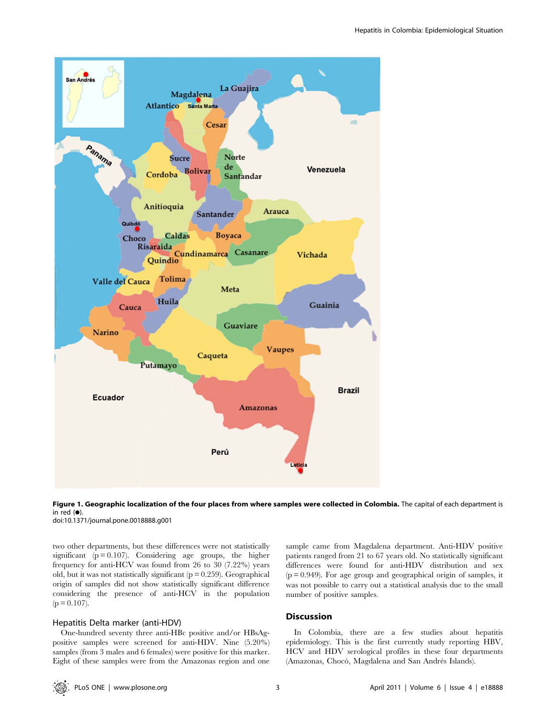



doi:10.1371/journal.pone.0018888.g001

two other departments, but these differences were not statistically significant  $(p = 0.107)$ . Considering age groups, the higher frequency for anti-HCV was found from 26 to 30 (7.22%) years old, but it was not statistically significant  $(p = 0.259)$ . Geographical origin of samples did not show statistically significant difference considering the presence of anti-HCV in the population  $(p = 0.107)$ .

# Hepatitis Delta marker (anti-HDV)

One-hundred seventy three anti-HBc positive and/or HBsAgpositive samples were screened for anti-HDV. Nine (5.20%) samples (from 3 males and 6 females) were positive for this marker. Eight of these samples were from the Amazonas region and one sample came from Magdalena department. Anti-HDV positive patients ranged from 21 to 67 years old. No statistically significant differences were found for anti-HDV distribution and sex  $(p = 0.949)$ . For age group and geographical origin of samples, it was not possible to carry out a statistical analysis due to the small number of positive samples.

# Discussion

In Colombia, there are a few studies about hepatitis epidemiology. This is the first currently study reporting HBV, HCV and HDV serological profiles in these four departments (Amazonas, Chocó, Magdalena and San Andrés Islands).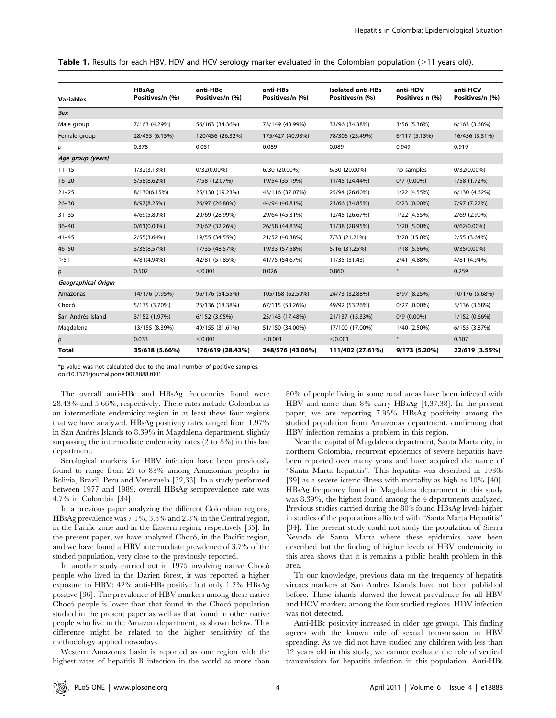Table 1. Results for each HBV, HDV and HCV serology marker evaluated in the Colombian population (>11 years old).

| <b>Variables</b>    | <b>HBsAg</b><br>Positives/n (%) | anti-HBc<br>Positives/n (%) | anti-HBs<br>Positives/n (%) | <b>Isolated anti-HBs</b><br>Positives/n (%) | anti-HDV<br>Positives n (%) | anti-HCV<br>Positives/n (%) |
|---------------------|---------------------------------|-----------------------------|-----------------------------|---------------------------------------------|-----------------------------|-----------------------------|
| <b>Sex</b>          |                                 |                             |                             |                                             |                             |                             |
| Male group          | 7/163 (4.29%)                   | 56/163 (34.36%)             | 73/149 (48.99%)             | 33/96 (34.38%)                              | 3/56 (5.36%)                | 6/163 (3.68%)               |
| Female group        | 28/455 (6.15%)                  | 120/456 (26.32%)            | 175/427 (40.98%)            | 78/306 (25.49%)                             | 6/117 (5.13%)               | 16/456 (3.51%)              |
| $\overline{p}$      | 0.378                           | 0.051                       | 0.089                       | 0.089                                       | 0.949                       | 0.919                       |
| Age group (years)   |                                 |                             |                             |                                             |                             |                             |
| $11 - 15$           | 1/32(3.13%)                     | $0/32(0.00\%)$              | 6/30 (20.00%)               | 6/30 (20.00%)                               | no samples                  | $0/32(0.00\%)$              |
| $16 - 20$           | 5/58(8.62%)                     | 7/58 (12.07%)               | 19/54 (35.19%)              | 11/45 (24.44%)                              | $0/7$ (0.00%)               | 1/58 (1.72%)                |
| $21 - 25$           | 8/130(6.15%)                    | 25/130 (19.23%)             | 43/116 (37.07%)             | 25/94 (26.60%)                              | 1/22 (4.55%)                | 6/130 (4.62%)               |
| $26 - 30$           | 8/97(8.25%)                     | 26/97 (26.80%)              | 44/94 (46.81%)              | 23/66 (34.85%)                              | $0/23$ (0.00%)              | 7/97 (7.22%)                |
| $31 - 35$           | 4/69(5.80%)                     | 20/69 (28.99%)              | 29/64 (45.31%)              | 12/45 (26.67%)                              | 1/22 (4.55%)                | 2/69 (2.90%)                |
| $36 - 40$           | $0/61(0.00\%)$                  | 20/62 (32.26%)              | 26/58 (44.83%)              | 11/38 (28.95%)                              | 1/20 (5.00%)                | $0/62(0.00\%)$              |
| $41 - 45$           | 2/55(3.64%)                     | 19/55 (34.55%)              | 21/52 (40.38%)              | 7/33 (21.21%)                               | 3/20 (15.0%)                | 2/55 (3.64%)                |
| $46 - 50$           | 3/35(8.57%)                     | 17/35 (48.57%)              | 19/33 (57.58%)              | 5/16 (31.25%)                               | 1/18 (5.56%)                | $0/35(0.00\%)$              |
| >51                 | 4/81(4.94%)                     | 42/81 (51.85%)              | 41/75 (54.67%)              | 11/35 (31.43)                               | 2/41 (4.88%)                | 4/81 (4.94%)                |
| р                   | 0.502                           | < 0.001                     | 0.026                       | 0.860                                       | $\ast$                      | 0.259                       |
| Geographical Origin |                                 |                             |                             |                                             |                             |                             |
| Amazonas            | 14/176 (7.95%)                  | 96/176 (54.55%)             | 105/168 (62.50%)            | 24/73 (32.88%)                              | 8/97 (8.25%)                | 10/176 (5.68%)              |
| Chocó               | 5/135 (3.70%)                   | 25/136 (18.38%)             | 67/115 (58.26%)             | 49/92 (53.26%)                              | $0/27(0.00\%)$              | 5/136 (3.68%)               |
| San Andrés Island   | 3/152 (1.97%)                   | 6/152 (3.95%)               | 25/143 (17.48%)             | 21/137 (15.33%)                             | $0/9$ (0.00%)               | 1/152 (0.66%)               |
| Magdalena           | 13/155 (8.39%)                  | 49/155 (31.61%)             | 51/150 (34.00%)             | 17/100 (17.00%)                             | 1/40 (2.50%)                | 6/155 (3.87%)               |
| $\boldsymbol{p}$    | 0.033                           | < 0.001                     | < 0.001                     | < 0.001                                     | $\ast$                      | 0.107                       |
| <b>Total</b>        | 35/618 (5.66%)                  | 176/619 (28.43%)            | 248/576 (43.06%)            | 111/402 (27.61%)                            | 9/173 (5.20%)               | 22/619 (3.55%)              |

\*p value was not calculated due to the small number of positive samples.

doi:10.1371/journal.pone.0018888.t001

The overall anti-HBc and HBsAg frequencies found were 28.43% and 5.66%, respectively. These rates include Colombia as an intermediate endemicity region in at least these four regions that we have analyzed. HBsAg positivity rates ranged from 1.97% in San Andrés Islands to 8.39% in Magdalena department, slightly surpassing the intermediate endemicity rates (2 to 8%) in this last department.

Serological markers for HBV infection have been previously found to range from 25 to 83% among Amazonian peoples in Bolivia, Brazil, Peru and Venezuela [32,33]. In a study performed between 1977 and 1989, overall HBsAg seroprevalence rate was 4.7% in Colombia [34].

In a previous paper analyzing the different Colombian regions, HBsAg prevalence was 7.1%, 3.5% and 2.8% in the Central region, in the Pacific zone and in the Eastern region, respectively [35]. In the present paper, we have analyzed Chocó, in the Pacific region, and we have found a HBV intermediate prevalence of 3.7% of the studied population, very close to the previously reported.

In another study carried out in 1975 involving native Choco people who lived in the Darien forest, it was reported a higher exposure to HBV: 42% anti-HBs positive but only 1.2% HBsAg positive [36]. The prevalence of HBV markers among these native Chocó people is lower than that found in the Chocó population studied in the present paper as well as that found in other native people who live in the Amazon department, as shown below. This difference might be related to the higher sensitivity of the methodology applied nowadays.

Western Amazonas basin is reported as one region with the highest rates of hepatitis B infection in the world as more than 80% of people living in some rural areas have been infected with HBV and more than 8% carry HBsAg [4,37,38]. In the present paper, we are reporting 7.95% HBsAg positivity among the studied population from Amazonas department, confirming that HBV infection remains a problem in this region.

Near the capital of Magdalena department, Santa Marta city, in northern Colombia, recurrent epidemics of severe hepatitis have been reported over many years and have acquired the name of ''Santa Marta hepatitis''. This hepatitis was described in 1930s [39] as a severe icteric illness with mortality as high as 10% [40]. HBsAg frequency found in Magdalena department in this study was 8.39%, the highest found among the 4 departments analyzed. Previous studies carried during the 80's found HBsAg levels higher in studies of the populations affected with ''Santa Marta Hepatitis'' [34]. The present study could not study the population of Sierra Nevada de Santa Marta where these epidemics have been described but the finding of higher levels of HBV endemicity in this area shows that it is remains a public health problem in this area.

To our knowledge, previous data on the frequency of hepatitis viruses markers at San Andrés Islands have not been published before. These islands showed the lowest prevalence for all HBV and HCV markers among the four studied regions. HDV infection was not detected.

Anti-HBc positivity increased in older age groups. This finding agrees with the known role of sexual transmission in HBV spreading. As we did not have studied any children with less than 12 years old in this study, we cannot evaluate the role of vertical transmission for hepatitis infection in this population. Anti-HBs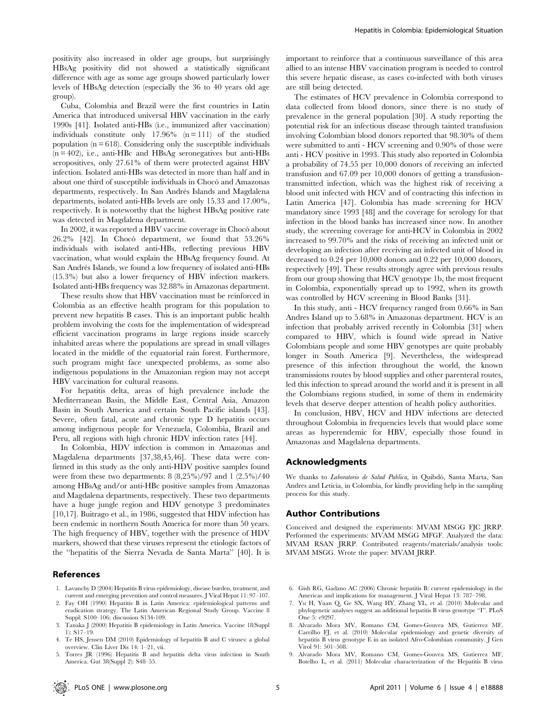positivity also increased in older age groups, but surprisingly HBsAg positivity did not showed a statistically significant difference with age as some age groups showed particularly lower levels of HBsAg detection (especially the 36 to 40 years old age group).

Cuba, Colombia and Brazil were the first countries in Latin America that introduced universal HBV vaccination in the early 1990s [41]. Isolated anti-HBs (i.e., immunized after vaccination) individuals constitute only  $17.96\%$  (n = 111) of the studied population  $(n = 618)$ . Considering only the susceptible individuals  $(n = 402)$ , i.e., anti-HBc and HBsAg seronegatives but anti-HBs seropositives, only 27.61% of them were protected against HBV infection. Isolated anti-HBs was detected in more than half and in about one third of susceptible individuals in Chocó and Amazonas departments, respectively. In San Andrés Islands and Magdalena departments, isolated anti-HBs levels are only 15.33 and 17.00%, respectively. It is noteworthy that the highest HBsAg positive rate was detected in Magdalena department.

In 2002, it was reported a HBV vaccine coverage in Chocó about  $26.2\%$  [42]. In Chocó department, we found that  $53.26\%$ individuals with isolated anti-HBs, reflecting previous HBV vaccination, what would explain the HBsAg frequency found. At San Andrés Islands, we found a low frequency of isolated anti-HBs (15.3%) but also a lower frequency of HBV infection markers. Isolated anti-HBs frequency was 32.88% in Amazonas department.

These results show that HBV vaccination must be reinforced in Colombia as an effective health program for this population to prevent new hepatitis B cases. This is an important public health problem involving the costs for the implementation of widespread efficient vaccination programs in large regions inside scarcely inhabited areas where the populations are spread in small villages located in the middle of the equatorial rain forest. Furthermore, such program might face unexpected problems, as some also indigenous populations in the Amazonian region may not accept HBV vaccination for cultural reasons.

For hepatitis delta, areas of high prevalence include the Mediterranean Basin, the Middle East, Central Asia, Amazon Basin in South America and certain South Pacific islands [43]. Severe, often fatal, acute and chronic type D hepatitis occurs among indigenous people for Venezuela, Colombia, Brazil and Peru, all regions with high chronic HDV infection rates [44].

In Colombia, HDV infection is common in Amazonas and Magdalena departments [37,38,45,46]. These data were confirmed in this study as the only anti-HDV positive samples found were from these two departments:  $8 (8,25\%)/97$  and  $1 (2.5\%)/40$ among HBsAg and/or anti-HBc positive samples from Amazonas and Magdalena departments, respectively. These two departments have a huge jungle region and HDV genotype 3 predominates [10,17]. Buitrago et al., in 1986, suggested that HDV infection has been endemic in northern South America for more than 50 years. The high frequency of HBV, together with the presence of HDV markers, showed that these viruses represent the etiologic factors of the ''hepatitis of the Sierra Nevada de Santa Marta'' [40]. It is

# References

- 1. Lavanchy D (2004) Hepatitis B virus epidemiology, disease burden, treatment, and current and emerging prevention and control measures. J Viral Hepat 11: 97–107.
- 2. Fay OH (1990) Hepatitis B in Latin America: epidemiological patterns and eradication strategy. The Latin American Regional Study Group. Vaccine 8 Suppl: S100–106; discussion S134-109.
- 3. Tanaka J (2000) Hepatitis B epidemiology in Latin America. Vaccine 18(Suppl 1): S17–19.
- 4. Te HS, Jensen DM (2010) Epidemiology of hepatitis B and C viruses: a global overview. Clin Liver Dis 14: 1–21, vii.
- 5. Torres JR (1996) Hepatitis B and hepatitis delta virus infection in South America. Gut 38(Suppl 2): S48–55.

important to reinforce that a continuous surveillance of this area allied to an intense HBV vaccination program is needed to control this severe hepatic disease, as cases co-infected with both viruses are still being detected.

The estimates of HCV prevalence in Colombia correspond to data collected from blood donors, since there is no study of prevalence in the general population [30]. A study reporting the potential risk for an infectious disease through tainted transfusion involving Colombian blood donors reported that 98.30% of them were submitted to anti - HCV screening and 0.90% of those were anti - HCV positive in 1993. This study also reported in Colombia a probability of 74.55 per 10,000 donors of receiving an infected transfusion and 67.09 per 10,000 donors of getting a transfusiontransmitted infection, which was the highest risk of receiving a blood unit infected with HCV and of contracting this infection in Latin America [47]. Colombia has made screening for HCV mandatory since 1993 [48] and the coverage for serology for that infection in the blood banks has increased since now. In another study, the screening coverage for anti-HCV in Colombia in 2002 increased to 99.70% and the risks of receiving an infected unit or developing an infection after receiving an infected unit of blood in decreased to 0.24 per 10,000 donors and 0.22 per 10,000 donors, respectively [49]. These results strongly agree with previous results from our group showing that HCV genotype 1b, the most frequent in Colombia, exponentially spread up to 1992, when its growth was controlled by HCV screening in Blood Banks [31].

In this study, anti - HCV frequency ranged from 0.66% in San Andres Island up to 5.68% in Amazonas department. HCV is an infection that probably arrived recently in Colombia [31] when compared to HBV, which is found wide spread in Native Colombians people and some HBV genotypes are quite probably longer in South America [9]. Nevertheless, the widespread presence of this infection throughout the world, the known transmissions routes by blood supplies and other parenteral routes, led this infection to spread around the world and it is present in all the Colombians regions studied, in some of them in endemicity levels that deserve deeper attention of health policy authorities.

In conclusion, HBV, HCV and HDV infections are detected throughout Colombia in frequencies levels that would place some areas as hyperendemic for HBV, especially those found in Amazonas and Magdalena departments.

#### Acknowledgments

We thanks to Laboratorio de Salud Publica, in Quibdó, Santa Marta, San Andres and Leticia, in Colombia, for kindly providing help in the sampling process for this study.

## Author Contributions

Conceived and designed the experiments: MVAM MSGG FJC JRRP. Performed the experiments: MVAM MSGG MFGF. Analyzed the data: MVAM RSAN JRRP. Contributed reagents/materials/analysis tools: MVAM MSGG. Wrote the paper: MVAM JRRP.

- 6. Gish RG, Gadano AC (2006) Chronic hepatitis B: current epidemiology in the Americas and implications for management. J Viral Hepat 13: 787–798.
- 7. Yu H, Yuan Q, Ge SX, Wang HY, Zhang YL, et al. (2010) Molecular and phylogenetic analyses suggest an additional hepatitis B virus genotype ''I''. PLoS One 5: e9297.
- 8. Alvarado Mora MV, Romano CM, Gomes-Gouvea MS, Gutierrez MF, Carrilho FJ, et al. (2010) Molecular epidemiology and genetic diversity of hepatitis B virus genotype E in an isolated Afro-Colombian community. J Gen Virol 91: 501–508.
- 9. Alvarado Mora MV, Romano CM, Gomes-Gouvea MS, Gutierrez MF, Botelho L, et al. (2011) Molecular characterization of the Hepatitis B virus